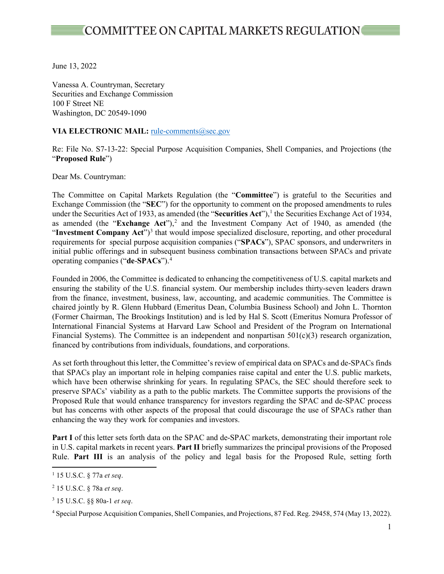June 13, 2022

Vanessa A. Countryman, Secretary Securities and Exchange Commission 100 F Street NE Washington, DC 20549-1090

#### VIA ELECTRONIC MAIL: rule-comments@sec.gov

Re: File No. S7-13-22: Special Purpose Acquisition Companies, Shell Companies, and Projections (the "**Proposed Rule**")

Dear Ms. Countryman:

The Committee on Capital Markets Regulation (the "**Committee**") is grateful to the Securities and Exchange Commission (the "**SEC**") for the opportunity to comment on the proposed amendments to rules under the Securities Act of 1933, as amended (the "**Securities Act**"),<sup>1</sup> the Securities Exchange Act of 1934, as amended (the "**Exchange Act**"),<sup>[2](#page-0-1)</sup> and the Investment Company Act of 1940, as amended (the "Investment Company Act"<sup>[3](#page-0-2)</sup> that would impose specialized disclosure, reporting, and other procedural requirements for special purpose acquisition companies ("**SPACs**"), SPAC sponsors, and underwriters in initial public offerings and in subsequent business combination transactions between SPACs and private operating companies ("**de**-**SPACs**").[4](#page-0-3)

Founded in 2006, the Committee is dedicated to enhancing the competitiveness of U.S. capital markets and ensuring the stability of the U.S. financial system. Our membership includes thirty-seven leaders drawn from the finance, investment, business, law, accounting, and academic communities. The Committee is chaired jointly by R. Glenn Hubbard (Emeritus Dean, Columbia Business School) and John L. Thornton (Former Chairman, The Brookings Institution) and is led by Hal S. Scott (Emeritus Nomura Professor of International Financial Systems at Harvard Law School and President of the Program on International Financial Systems). The Committee is an independent and nonpartisan 501(c)(3) research organization, financed by contributions from individuals, foundations, and corporations.

As set forth throughout this letter, the Committee's review of empirical data on SPACs and de-SPACs finds that SPACs play an important role in helping companies raise capital and enter the U.S. public markets, which have been otherwise shrinking for years. In regulating SPACs, the SEC should therefore seek to preserve SPACs' viability as a path to the public markets. The Committee supports the provisions of the Proposed Rule that would enhance transparency for investors regarding the SPAC and de-SPAC process but has concerns with other aspects of the proposal that could discourage the use of SPACs rather than enhancing the way they work for companies and investors.

**Part I** of this letter sets forth data on the SPAC and de-SPAC markets, demonstrating their important role in U.S. capital markets in recent years. **Part II** briefly summarizes the principal provisions of the Proposed Rule. **Part III** is an analysis of the policy and legal basis for the Proposed Rule, setting forth

<span id="page-0-0"></span><sup>1</sup> 15 U.S.C. § 77a *et seq*.

<span id="page-0-1"></span><sup>2</sup> 15 U.S.C. § 78a *et seq*.

<span id="page-0-2"></span><sup>3</sup> 15 U.S.C. §§ 80a-1 *et seq*.

<span id="page-0-3"></span><sup>4</sup> Special Purpose Acquisition Companies, Shell Companies, and Projections, 87 Fed. Reg. 29458, 574 (May 13, 2022).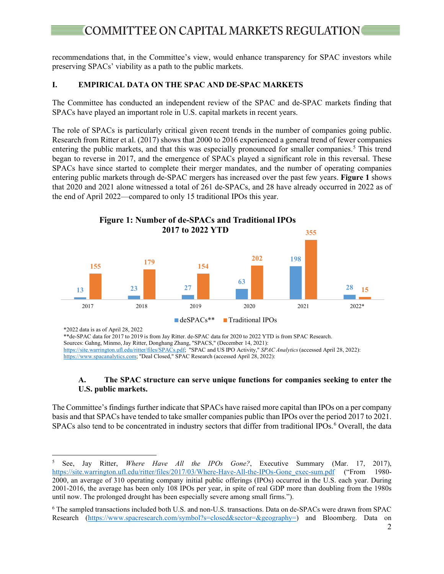# **COMMITTEE ON CAPITAL MARKETS REGULATION**

recommendations that, in the Committee's view, would enhance transparency for SPAC investors while preserving SPACs' viability as a path to the public markets.

#### **I. EMPIRICAL DATA ON THE SPAC AND DE-SPAC MARKETS**

The Committee has conducted an independent review of the SPAC and de-SPAC markets finding that SPACs have played an important role in U.S. capital markets in recent years.

The role of SPACs is particularly critical given recent trends in the number of companies going public. Research from Ritter et al. (2017) shows that 2000 to 2016 experienced a general trend of fewer companies entering the public markets, and that this was especially pronounced for smaller companies.<sup>[5](#page-1-0)</sup> This trend began to reverse in 2017, and the emergence of SPACs played a significant role in this reversal. These SPACs have since started to complete their merger mandates, and the number of operating companies entering public markets through de-SPAC mergers has increased over the past few years. **Figure 1** shows that 2020 and 2021 alone witnessed a total of 261 de-SPACs, and 28 have already occurred in 2022 as of the end of April 2022—compared to only 15 traditional IPOs this year.



\*2022 data is as of April 28, 2022

\*\*de-SPAC data for 2017 to 2019 is from Jay Ritter. de-SPAC data for 2020 to 2022 YTD is from SPAC Research.

Sources: Gahng, Minmo, Jay Ritter, Donghang Zhang, "SPACS," (December 14, 2021):

https://site.warrington.ufl.edu/ritter/files/SPACs.pdf; "SPAC and US IPO Activity," *SPAC Analytics*(accessed April 28, 2022):

https://www.spacanalytics.com; "Deal Closed," SPAC Research (accessed April 28, 2022):

#### **A. The SPAC structure can serve unique functions for companies seeking to enter the U.S. public markets.**

The Committee's findings further indicate that SPACs have raised more capital than IPOs on a per company basis and that SPACs have tended to take smaller companies public than IPOs over the period 2017 to 2021. SPACs also tend to be concentrated in industry sectors that differ from traditional IPOs.<sup>[6](#page-1-1)</sup> Overall, the data

<span id="page-1-0"></span><sup>&</sup>lt;sup>5</sup> See, Jay Ritter, *Where Have All the IPOs Gone?*, Executive Summary (Mar. 17, 2017), https://site.warrington.ufl.edu/ritter/files/2017/03/Where-Have-All-the-IPOs-Gone exec-sum.pdf ("From 1980[https://site.warrington.ufl.edu/ritter/files/2017/03/Where-Have-All-the-IPOs-Gone\\_exec-sum.pdf](https://site.warrington.ufl.edu/ritter/files/2017/03/Where-Have-All-the-IPOs-Gone_exec-sum.pdf) ("From 1980-2000, an average of 310 operating company initial public offerings (IPOs) occurred in the U.S. each year. During 2001-2016, the average has been only 108 IPOs per year, in spite of real GDP more than doubling from the 1980s until now. The prolonged drought has been especially severe among small firms.").

<span id="page-1-1"></span><sup>6</sup> The sampled transactions included both U.S. and non-U.S. transactions. Data on de-SPACs were drawn from SPAC Research [\(https://www.spacresearch.com/symbol?s=closed&sector=&geography=\)](https://www.spacresearch.com/symbol?s=closed§or=&geography=) and Bloomberg. Data on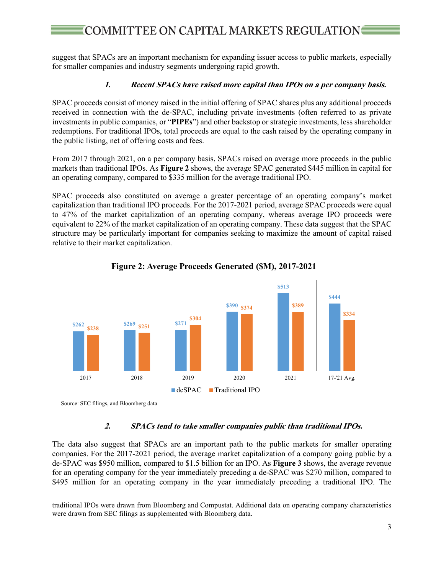## **COMMITTEE ON CAPITAL MARKETS REGULATION**

suggest that SPACs are an important mechanism for expanding issuer access to public markets, especially for smaller companies and industry segments undergoing rapid growth.

#### **1. Recent SPACs have raised more capital than IPOs on a per company basis.**

SPAC proceeds consist of money raised in the initial offering of SPAC shares plus any additional proceeds received in connection with the de-SPAC, including private investments (often referred to as private investments in public companies, or "**PIPEs**") and other backstop or strategic investments, less shareholder redemptions. For traditional IPOs, total proceeds are equal to the cash raised by the operating company in the public listing, net of offering costs and fees.

From 2017 through 2021, on a per company basis, SPACs raised on average more proceeds in the public markets than traditional IPOs. As **Figure 2** shows, the average SPAC generated \$445 million in capital for an operating company, compared to \$335 million for the average traditional IPO.

SPAC proceeds also constituted on average a greater percentage of an operating company's market capitalization than traditional IPO proceeds. For the 2017-2021 period, average SPAC proceeds were equal to 47% of the market capitalization of an operating company, whereas average IPO proceeds were equivalent to 22% of the market capitalization of an operating company. These data suggest that the SPAC structure may be particularly important for companies seeking to maximize the amount of capital raised relative to their market capitalization.



**Figure 2: Average Proceeds Generated (\$M), 2017-2021**

Source: SEC filings, and Bloomberg data

#### **2. SPACs tend to take smaller companies public than traditional IPOs.**

The data also suggest that SPACs are an important path to the public markets for smaller operating companies. For the 2017-2021 period, the average market capitalization of a company going public by a de-SPAC was \$950 million, compared to \$1.5 billion for an IPO. As **Figure 3** shows, the average revenue for an operating company for the year immediately preceding a de-SPAC was \$270 million, compared to \$495 million for an operating company in the year immediately preceding a traditional IPO. The

traditional IPOs were drawn from Bloomberg and Compustat. Additional data on operating company characteristics were drawn from SEC filings as supplemented with Bloomberg data.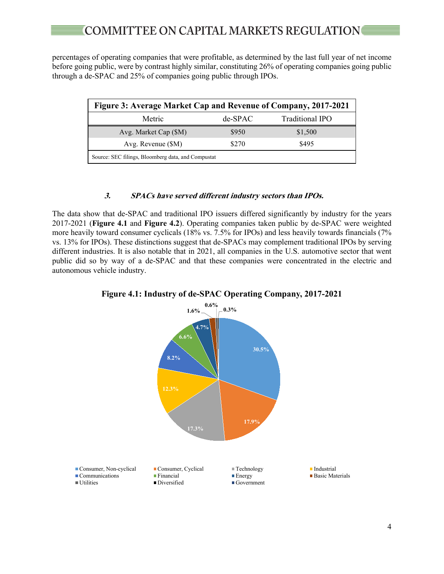percentages of operating companies that were profitable, as determined by the last full year of net income before going public, were by contrast highly similar, constituting 26% of operating companies going public through a de-SPAC and 25% of companies going public through IPOs.

| Figure 3: Average Market Cap and Revenue of Company, 2017-2021 |            |                 |  |
|----------------------------------------------------------------|------------|-----------------|--|
| Metric                                                         | $de$ -SPAC | Traditional IPO |  |
| Avg. Market Cap (\$M)                                          | \$950      | \$1,500         |  |
| Avg. Revenue $(SM)$                                            | \$270      | \$495           |  |
| Source: SEC filings, Bloomberg data, and Compustat             |            |                 |  |

#### **3. SPACs have served different industry sectors than IPOs.**

The data show that de-SPAC and traditional IPO issuers differed significantly by industry for the years 2017-2021 (**Figure 4.1** and **Figure 4.2**). Operating companies taken public by de-SPAC were weighted more heavily toward consumer cyclicals (18% vs. 7.5% for IPOs) and less heavily towards financials (7% vs. 13% for IPOs). These distinctions suggest that de-SPACs may complement traditional IPOs by serving different industries. It is also notable that in 2021, all companies in the U.S. automotive sector that went public did so by way of a de-SPAC and that these companies were concentrated in the electric and autonomous vehicle industry.



#### **Figure 4.1: Industry of de-SPAC Operating Company, 2017-2021**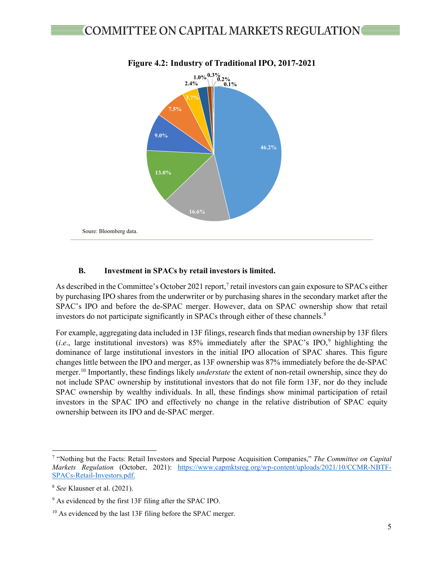

### **Figure 4.2: Industry of Traditional IPO, 2017-2021**

#### **B. Investment in SPACs by retail investors is limited.**

As described in the Committee's October 2021 report,<sup>[7](#page-4-0)</sup> retail investors can gain exposure to SPACs either by purchasing IPO shares from the underwriter or by purchasing shares in the secondary market after the SPAC's IPO and before the de-SPAC merger. However, data on SPAC ownership show that retail investors do not participate significantly in SPACs through either of these channels.<sup>[8](#page-4-1)</sup>

For example, aggregating data included in 13F filings, research finds that median ownership by 13F filers  $(i.e., large institutional investors) was 85% immediately after the SPAC's IPO<sup>9</sup>, highlighting the$  $(i.e., large institutional investors) was 85% immediately after the SPAC's IPO<sup>9</sup>, highlighting the$  $(i.e., large institutional investors) was 85% immediately after the SPAC's IPO<sup>9</sup>, highlighting the$ dominance of large institutional investors in the initial IPO allocation of SPAC shares. This figure changes little between the IPO and merger, as 13F ownership was 87% immediately before the de-SPAC merger.[10](#page-4-3) Importantly, these findings likely *understate* the extent of non-retail ownership, since they do not include SPAC ownership by institutional investors that do not file form 13F, nor do they include SPAC ownership by wealthy individuals. In all, these findings show minimal participation of retail investors in the SPAC IPO and effectively no change in the relative distribution of SPAC equity ownership between its IPO and de-SPAC merger.

<span id="page-4-0"></span><sup>7</sup> "Nothing but the Facts: Retail Investors and Special Purpose Acquisition Companies," *The Committee on Capital Markets Regulation* (October, 2021): [https://www.capmktsreg.org/wp-content/uploads/2021/10/CCMR-NBTF-](https://www.capmktsreg.org/wp-content/uploads/2021/10/CCMR-NBTF-SPACs-Retail-Investors.pdf)[SPACs-Retail-Investors.pdf.](https://www.capmktsreg.org/wp-content/uploads/2021/10/CCMR-NBTF-SPACs-Retail-Investors.pdf)

<span id="page-4-1"></span><sup>8</sup> *See* Klausner et al. (2021).

<span id="page-4-2"></span><sup>9</sup> As evidenced by the first 13F filing after the SPAC IPO.

<span id="page-4-3"></span><sup>&</sup>lt;sup>10</sup> As evidenced by the last 13F filing before the SPAC merger.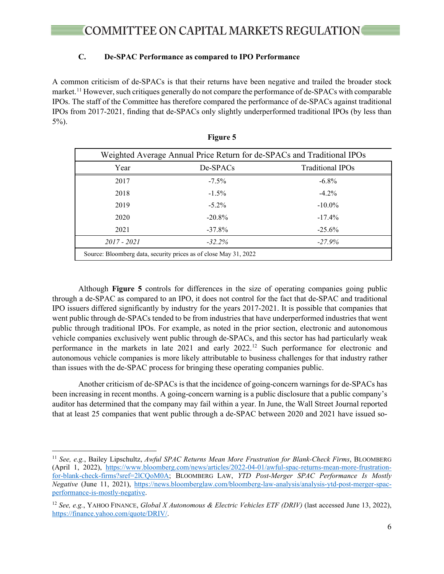#### **C. De-SPAC Performance as compared to IPO Performance**

A common criticism of de-SPACs is that their returns have been negative and trailed the broader stock market.<sup>[11](#page-5-0)</sup> However, such critiques generally do not compare the performance of de-SPACs with comparable IPOs. The staff of the Committee has therefore compared the performance of de-SPACs against traditional IPOs from 2017-2021, finding that de-SPACs only slightly underperformed traditional IPOs (by less than 5%).

| Weighted Average Annual Price Return for de-SPACs and Traditional IPOs |           |                         |  |
|------------------------------------------------------------------------|-----------|-------------------------|--|
| Year                                                                   | De-SPACs  | <b>Traditional IPOs</b> |  |
| 2017                                                                   | $-7.5\%$  | $-6.8\%$                |  |
| 2018                                                                   | $-1.5\%$  | $-4.2\%$                |  |
| 2019                                                                   | $-5.2\%$  | $-10.0\%$               |  |
| 2020                                                                   | $-20.8\%$ | $-17.4\%$               |  |
| 2021                                                                   | $-37.8\%$ | $-25.6\%$               |  |
| 2017 - 2021                                                            | $-32.2\%$ | $-27.9\%$               |  |
| Source: Bloomberg data, security prices as of close May 31, 2022       |           |                         |  |

| Figure |  |
|--------|--|
|        |  |

Although **Figure 5** controls for differences in the size of operating companies going public through a de-SPAC as compared to an IPO, it does not control for the fact that de-SPAC and traditional IPO issuers differed significantly by industry for the years 2017-2021. It is possible that companies that went public through de-SPACs tended to be from industries that have underperformed industries that went public through traditional IPOs. For example, as noted in the prior section, electronic and autonomous vehicle companies exclusively went public through de-SPACs, and this sector has had particularly weak performance in the markets in late 2021 and early 2022.<sup>[12](#page-5-1)</sup> Such performance for electronic and autonomous vehicle companies is more likely attributable to business challenges for that industry rather than issues with the de-SPAC process for bringing these operating companies public.

Another criticism of de-SPACs is that the incidence of going-concern warnings for de-SPACs has been increasing in recent months. A going-concern warning is a public disclosure that a public company's auditor has determined that the company may fail within a year. In June, the Wall Street Journal reported that at least 25 companies that went public through a de-SPAC between 2020 and 2021 have issued so-

<span id="page-5-0"></span><sup>11</sup> *See, e.g.*, Bailey Lipschultz, *Awful SPAC Returns Mean More Frustration for Blank-Check Firms*, BLOOMBERG (April 1, 2022), [https://www.bloomberg.com/news/articles/2022-04-01/awful-spac-returns-mean-more-frustration](https://www.bloomberg.com/news/articles/2022-04-01/awful-spac-returns-mean-more-frustration-for-blank-check-firms?sref=2lCQoM0A)[for-blank-check-firms?sref=2lCQoM0A;](https://www.bloomberg.com/news/articles/2022-04-01/awful-spac-returns-mean-more-frustration-for-blank-check-firms?sref=2lCQoM0A) BLOOMBERG LAW, *YTD Post-Merger SPAC Performance Is Mostly Negative* (June 11, 2021), [https://news.bloomberglaw.com/bloomberg-law-analysis/analysis-ytd-post-merger-spac](https://news.bloomberglaw.com/bloomberg-law-analysis/analysis-ytd-post-merger-spac-performance-is-mostly-negative)[performance-is-mostly-negative.](https://news.bloomberglaw.com/bloomberg-law-analysis/analysis-ytd-post-merger-spac-performance-is-mostly-negative) 

<span id="page-5-1"></span><sup>12</sup> *See, e.g.*, YAHOO FINANCE, *Global X Autonomous & Electric Vehicles ETF (DRIV)* (last accessed June 13, 2022), [https://finance.yahoo.com/quote/DRIV/.](https://finance.yahoo.com/quote/DRIV/)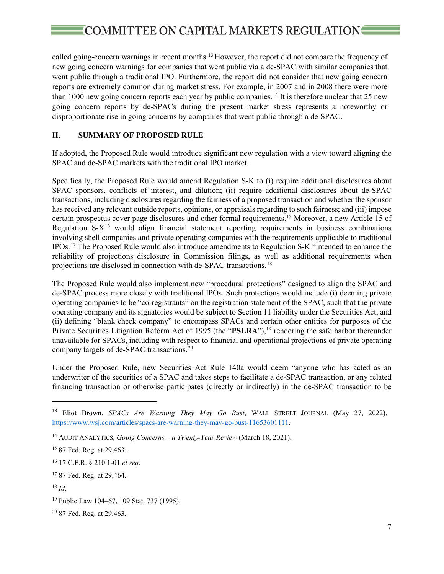called going-concern warnings in recent months.<sup>[13](#page-6-0)</sup> However, the report did not compare the frequency of new going concern warnings for companies that went public via a de-SPAC with similar companies that went public through a traditional IPO. Furthermore, the report did not consider that new going concern reports are extremely common during market stress. For example, in 2007 and in 2008 there were more than 1000 new going concern reports each year by public companies.<sup>14</sup> It is therefore unclear that 25 new going concern reports by de-SPACs during the present market stress represents a noteworthy or disproportionate rise in going concerns by companies that went public through a de-SPAC.

#### **II. SUMMARY OF PROPOSED RULE**

If adopted, the Proposed Rule would introduce significant new regulation with a view toward aligning the SPAC and de-SPAC markets with the traditional IPO market.

Specifically, the Proposed Rule would amend Regulation S-K to (i) require additional disclosures about SPAC sponsors, conflicts of interest, and dilution; (ii) require additional disclosures about de-SPAC transactions, including disclosures regarding the fairness of a proposed transaction and whether the sponsor has received any relevant outside reports, opinions, or appraisals regarding to such fairness; and (iii) impose certain prospectus cover page disclosures and other formal requirements.[15](#page-6-2) Moreover, a new Article 15 of Regulation  $S-X^{16}$  $S-X^{16}$  $S-X^{16}$  would align financial statement reporting requirements in business combinations involving shell companies and private operating companies with the requirements applicable to traditional IPOs.[17](#page-6-4) The Proposed Rule would also introduce amendments to Regulation S-K "intended to enhance the reliability of projections disclosure in Commission filings, as well as additional requirements when projections are disclosed in connection with de-SPAC transactions.[18](#page-6-5)

The Proposed Rule would also implement new "procedural protections" designed to align the SPAC and de-SPAC process more closely with traditional IPOs. Such protections would include (i) deeming private operating companies to be "co-registrants" on the registration statement of the SPAC, such that the private operating company and its signatories would be subject to Section 11 liability under the Securities Act; and (ii) defining "blank check company" to encompass SPACs and certain other entities for purposes of the Private Securities Litigation Reform Act of [19](#page-6-6)95 (the "PSLRA"),<sup>19</sup> rendering the safe harbor thereunder unavailable for SPACs, including with respect to financial and operational projections of private operating company targets of de-SPAC transactions.[20](#page-6-7)

Under the Proposed Rule, new Securities Act Rule 140a would deem "anyone who has acted as an underwriter of the securities of a SPAC and takes steps to facilitate a de-SPAC transaction, or any related financing transaction or otherwise participates (directly or indirectly) in the de-SPAC transaction to be

<span id="page-6-0"></span><sup>13</sup> Eliot Brown, *SPACs Are Warning They May Go Bust*, WALL STREET JOURNAL (May 27, 2022), [https://www.wsj.com/articles/spacs-are-warning-they-may-go-bust-11653601111.](https://www.wsj.com/articles/spacs-are-warning-they-may-go-bust-11653601111)

<span id="page-6-1"></span><sup>14</sup> AUDIT ANALYTICS, *Going Concerns – a Twenty-Year Review* (March 18, 2021).

<span id="page-6-2"></span><sup>15</sup> 87 Fed. Reg. at 29,463.

<span id="page-6-3"></span><sup>16</sup> 17 C.F.R. § 210.1-01 *et seq*.

<span id="page-6-4"></span><sup>&</sup>lt;sup>17</sup> 87 Fed. Reg. at 29,464.

<span id="page-6-5"></span><sup>18</sup> *Id*.

<span id="page-6-6"></span><sup>19</sup> Public Law 104–67, 109 Stat. 737 (1995).

<span id="page-6-7"></span><sup>20</sup> 87 Fed. Reg. at 29,463.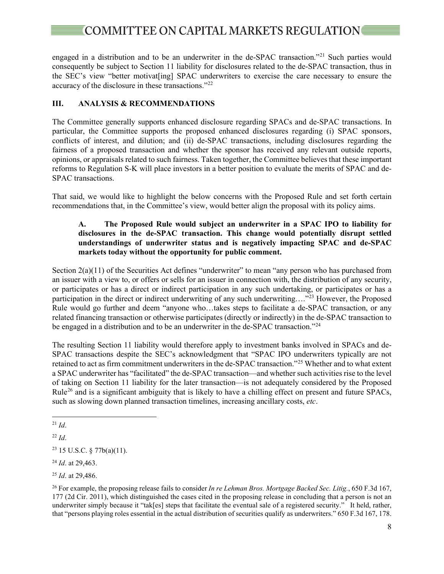engaged in a distribution and to be an underwriter in the de-SPAC transaction."[21](#page-7-0) Such parties would consequently be subject to Section 11 liability for disclosures related to the de-SPAC transaction, thus in the SEC's view "better motivat[ing] SPAC underwriters to exercise the care necessary to ensure the accuracy of the disclosure in these transactions."[22](#page-7-1)

### **III. ANALYSIS & RECOMMENDATIONS**

The Committee generally supports enhanced disclosure regarding SPACs and de-SPAC transactions. In particular, the Committee supports the proposed enhanced disclosures regarding (i) SPAC sponsors, conflicts of interest, and dilution; and (ii) de-SPAC transactions, including disclosures regarding the fairness of a proposed transaction and whether the sponsor has received any relevant outside reports, opinions, or appraisals related to such fairness. Taken together, the Committee believes that these important reforms to Regulation S-K will place investors in a better position to evaluate the merits of SPAC and de-SPAC transactions.

That said, we would like to highlight the below concerns with the Proposed Rule and set forth certain recommendations that, in the Committee's view, would better align the proposal with its policy aims.

#### **A. The Proposed Rule would subject an underwriter in a SPAC IPO to liability for disclosures in the de-SPAC transaction. This change would potentially disrupt settled understandings of underwriter status and is negatively impacting SPAC and de-SPAC markets today without the opportunity for public comment.**

Section 2(a)(11) of the Securities Act defines "underwriter" to mean "any person who has purchased from an issuer with a view to, or offers or sells for an issuer in connection with, the distribution of any security, or participates or has a direct or indirect participation in any such undertaking, or participates or has a participation in the direct or indirect underwriting of any such underwriting…."<sup>[23](#page-7-2)</sup> However, the Proposed Rule would go further and deem "anyone who…takes steps to facilitate a de-SPAC transaction, or any related financing transaction or otherwise participates (directly or indirectly) in the de-SPAC transaction to be engaged in a distribution and to be an underwriter in the de-SPAC transaction."<sup>[24](#page-7-3)</sup>

The resulting Section 11 liability would therefore apply to investment banks involved in SPACs and de-SPAC transactions despite the SEC's acknowledgment that "SPAC IPO underwriters typically are not retained to act as firm commitment underwriters in the de-SPAC transaction."[25](#page-7-4) Whether and to what extent a SPAC underwriter has "facilitated" the de-SPAC transaction—and whether such activities rise to the level of taking on Section 11 liability for the later transaction—is not adequately considered by the Proposed Rule<sup>[26](#page-7-5)</sup> and is a significant ambiguity that is likely to have a chilling effect on present and future SPACs, such as slowing down planned transaction timelines, increasing ancillary costs, *etc*.

<span id="page-7-0"></span> $^{21}$  *Id.* 

<span id="page-7-1"></span><sup>22</sup> *Id*.

<span id="page-7-2"></span><sup>23</sup> 15 U.S.C. § 77b(a)(11).

<span id="page-7-3"></span><sup>24</sup> *Id*. at 29,463.

<span id="page-7-4"></span><sup>25</sup> *Id*. at 29,486.

<span id="page-7-5"></span><sup>26</sup> For example, the proposing release fails to consider *In re Lehman Bros. Mortgage Backed Sec. Litig.*, 650 F.3d 167, 177 (2d Cir. 2011), which distinguished the cases cited in the proposing release in concluding that a person is not an underwriter simply because it "tak[es] steps that facilitate the eventual sale of a registered security." It held, rather, that "persons playing roles essential in the actual distribution of securities qualify as underwriters." 650 F.3d 167, 178.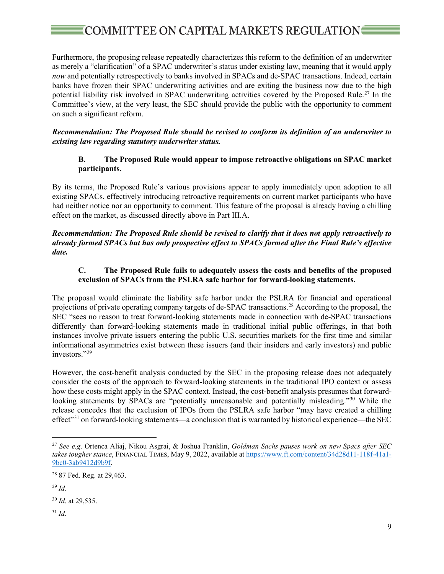# $\blacksquare$  COMMITTEE ON CAPITAL MARKETS REGULATION

Furthermore, the proposing release repeatedly characterizes this reform to the definition of an underwriter as merely a "clarification" of a SPAC underwriter's status under existing law, meaning that it would apply *now* and potentially retrospectively to banks involved in SPACs and de-SPAC transactions. Indeed, certain banks have frozen their SPAC underwriting activities and are exiting the business now due to the high potential liability risk involved in SPAC underwriting activities covered by the Proposed Rule.<sup>[27](#page-8-0)</sup> In the Committee's view, at the very least, the SEC should provide the public with the opportunity to comment on such a significant reform.

*Recommendation: The Proposed Rule should be revised to conform its definition of an underwriter to existing law regarding statutory underwriter status.* 

#### **B. The Proposed Rule would appear to impose retroactive obligations on SPAC market participants.**

By its terms, the Proposed Rule's various provisions appear to apply immediately upon adoption to all existing SPACs, effectively introducing retroactive requirements on current market participants who have had neither notice nor an opportunity to comment. This feature of the proposal is already having a chilling effect on the market, as discussed directly above in Part III.A.

*Recommendation: The Proposed Rule should be revised to clarify that it does not apply retroactively to already formed SPACs but has only prospective effect to SPACs formed after the Final Rule's effective date.* 

#### **C. The Proposed Rule fails to adequately assess the costs and benefits of the proposed exclusion of SPACs from the PSLRA safe harbor for forward-looking statements.**

The proposal would eliminate the liability safe harbor under the PSLRA for financial and operational projections of private operating company targets of de-SPAC transactions.<sup>[28](#page-8-1)</sup> According to the proposal, the SEC "sees no reason to treat forward-looking statements made in connection with de-SPAC transactions differently than forward-looking statements made in traditional initial public offerings, in that both instances involve private issuers entering the public U.S. securities markets for the first time and similar informational asymmetries exist between these issuers (and their insiders and early investors) and public investors."<sup>[29](#page-8-2)</sup>

However, the cost-benefit analysis conducted by the SEC in the proposing release does not adequately consider the costs of the approach to forward-looking statements in the traditional IPO context or assess how these costs might apply in the SPAC context. Instead, the cost-benefit analysis presumes that forward-looking statements by SPACs are "potentially unreasonable and potentially misleading."<sup>[30](#page-8-3)</sup> While the release concedes that the exclusion of IPOs from the PSLRA safe harbor "may have created a chilling effect"[31](#page-8-4) on forward-looking statements—a conclusion that is warranted by historical experience—the SEC

<span id="page-8-4"></span><sup>31</sup> *Id*.

<span id="page-8-0"></span><sup>27</sup> *See e.g*. Ortenca Aliaj, Nikou Asgrai, & Joshua Franklin, *Goldman Sachs pauses work on new Spacs after SEC takes tougher stance*, FINANCIAL TIMES, May 9, 2022, available at [https://www.ft.com/content/34d28d11-118f-41a1-](https://www.ft.com/content/34d28d11-118f-41a1-9bc0-3ab9412d9b9f) [9bc0-3ab9412d9b9f.](https://www.ft.com/content/34d28d11-118f-41a1-9bc0-3ab9412d9b9f)

<span id="page-8-1"></span><sup>28</sup> 87 Fed. Reg. at 29,463.

<span id="page-8-2"></span><sup>29</sup> *Id*.

<span id="page-8-3"></span><sup>30</sup> *Id*. at 29,535.